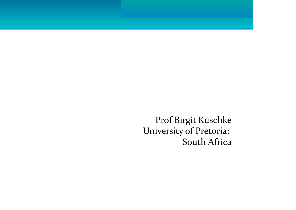Prof Birgit Kuschke University of Pretoria: South Africa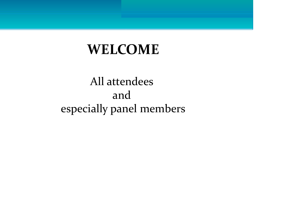# **WELCOME**

All attendees and especially panel members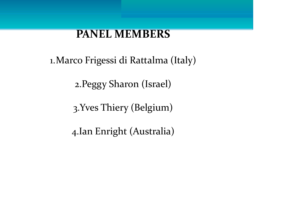## **PANEL MEMBERS**

1.Marco Frigessi di Rattalma (Italy)

2.Peggy Sharon (Israel)

3.Yves Thiery (Belgium)

4.Ian Enright (Australia)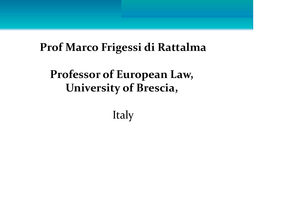# **Prof Marco Frigessi di Rattalma**

# **Professor of European Law, University of Brescia,**

# Italy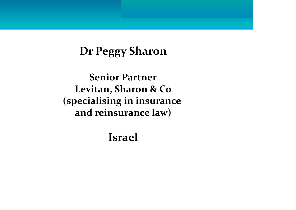# **Dr Peggy Sharon**

**Senior Partner Levitan, Sharon & Co (specialising in insurance and reinsurance law)**

## **Israel**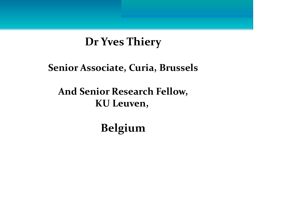## **Dr Yves Thiery**

#### **Senior Associate, Curia, Brussels**

## **And Senior Research Fellow, KU Leuven,**

# **Belgium**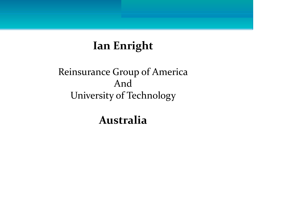# **Ian Enright**

### Reinsurance Group of America And University of Technology

# **Australia**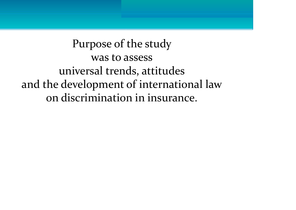Purpose of the study was to assess universal trends, attitudes and the development of international law on discrimination in insurance.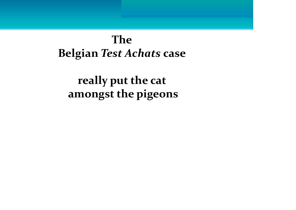## **The Belgian** *Test Achats* **case**

**really put the cat amongst the pigeons**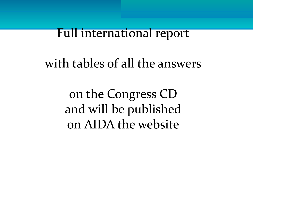Full international report

with tables of all the answers

on the Congress CD and will be published on AIDA the website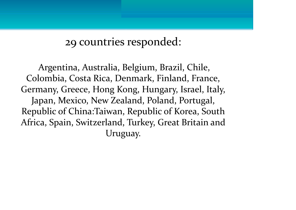29 countries responded:

Argentina, Australia, Belgium, Brazil, Chile, Colombia, Costa Rica, Denmark, Finland, France, Germany, Greece, Hong Kong, Hungary, Israel, Italy, Japan, Mexico, New Zealand, Poland, Portugal, Republic of China:Taiwan, Republic of Korea, South Africa, Spain, Switzerland, Turkey, Great Britain and Uruguay.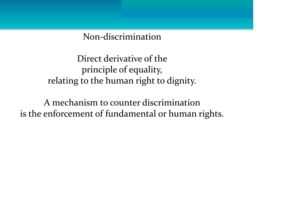Non-discrimination

Direct derivative of the principle of equality, relating to the human right to dignity.

A mechanism to counter discrimination is the enforcement of fundamental or human rights.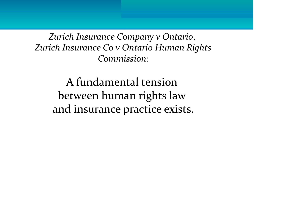*Zurich Insurance Company v Ontario*, *Zurich Insurance Co v Ontario Human Rights Commission:*

> A fundamental tension between human rights law and insurance practice exists.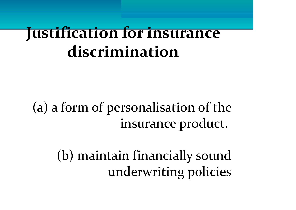# **Justification for insurance discrimination**

# (a) a form of personalisation of the insurance product.

(b) maintain financially sound underwriting policies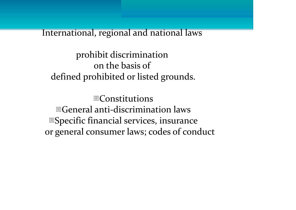International, regional and national laws

prohibit discrimination on the basis of defined prohibited or listed grounds.

Constitutions General anti-discrimination laws Specific financial services, insurance or general consumer laws; codes of conduct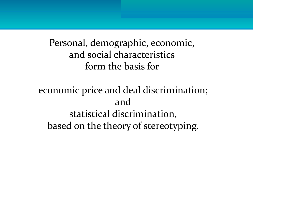Personal, demographic, economic, and social characteristics form the basis for

economic price and deal discrimination; and statistical discrimination, based on the theory of stereotyping.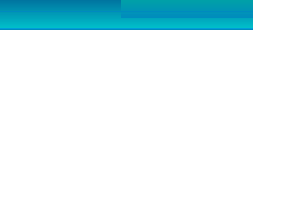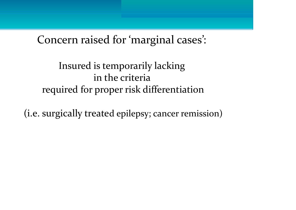Concern raised for 'marginal cases':

Insured is temporarily lacking in the criteria required for proper risk differentiation

(i.e. surgically treated epilepsy; cancer remission)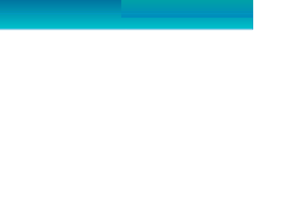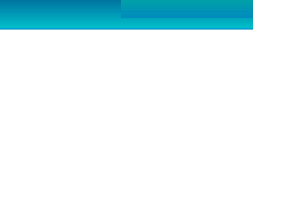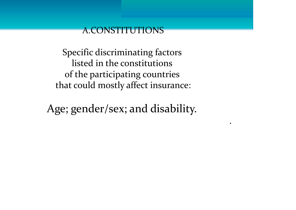#### A.CONSTITUTIONS

Specific discriminating factors listed in the constitutions of the participating countries that could mostly affect insurance:

Age; gender/sex; and disability.

.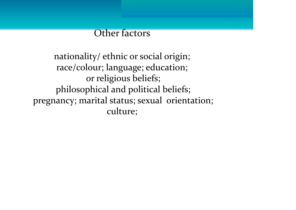#### Other factors

nationality/ ethnic or social origin; race/colour; language; education; or religious beliefs; philosophical and political beliefs; pregnancy; marital status; sexual orientation; culture;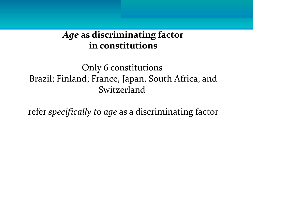*Age* **as discriminating factor in constitutions**

#### Only 6 constitutions Brazil; Finland; France, Japan, South Africa, and Switzerland

refer *specifically to age* as a discriminating factor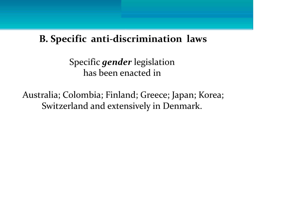### **B. Specific anti-discrimination laws**

Specific *gender* legislation has been enacted in

Australia; Colombia; Finland; Greece; Japan; Korea; Switzerland and extensively in Denmark.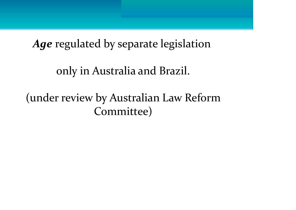*Age* regulated by separate legislation

only in Australia and Brazil.

(under review by Australian Law Reform Committee)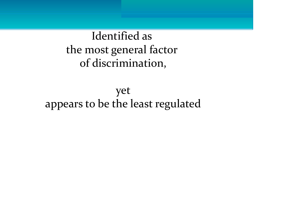Identified as the most general factor of discrimination,

yet appears to be the least regulated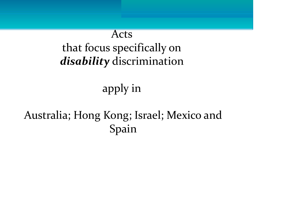# Acts that focus specifically on *disability* discrimination

apply in

# Australia; Hong Kong; Israel; Mexico and Spain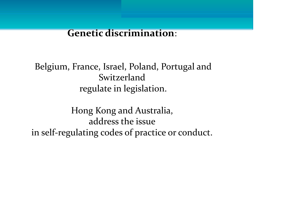**Genetic discrimination**:

Belgium, France, Israel, Poland, Portugal and Switzerland regulate in legislation.

Hong Kong and Australia, address the issue in self-regulating codes of practice or conduct.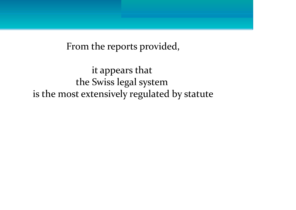From the reports provided,

it appears that the Swiss legal system is the most extensively regulated by statute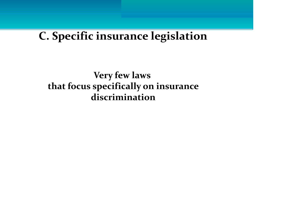## **C. Specific insurance legislation**

**Very few laws that focus specifically on insurance discrimination**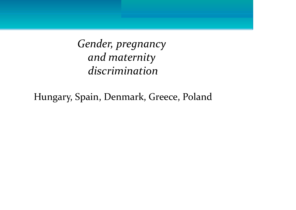*Gender, pregnancy and maternity discrimination*

Hungary, Spain, Denmark, Greece, Poland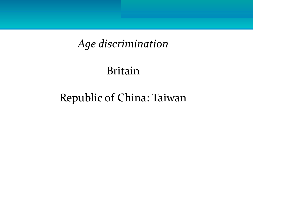*Age discrimination*

## Britain

# Republic of China: Taiwan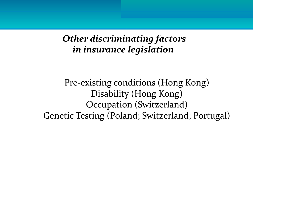*Other discriminating factors in insurance legislation*

Pre-existing conditions (Hong Kong) Disability (Hong Kong) Occupation (Switzerland) Genetic Testing (Poland; Switzerland; Portugal)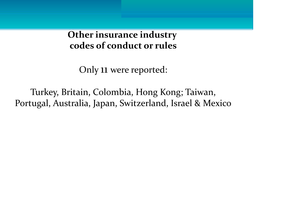**Other insurance industry codes of conduct or rules**

Only 11 were reported:

Turkey, Britain, Colombia, Hong Kong; Taiwan, Portugal, Australia, Japan, Switzerland, Israel & Mexico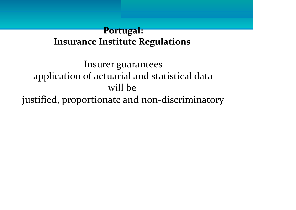#### **Portugal: Insurance Institute Regulations**

## Insurer guarantees application of actuarial and statistical data will be justified, proportionate and non-discriminatory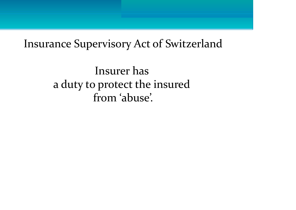## Insurance Supervisory Act of Switzerland

Insurer has a duty to protect the insured from 'abuse'.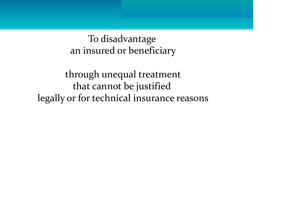To disadvantage an insured or beneficiary

through unequal treatment that cannot be justified legally or for technical insurance reasons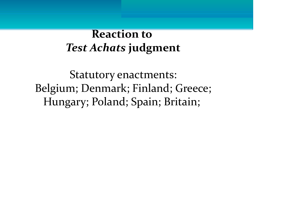**Reaction to** *Test Achats* **judgment**

Statutory enactments: Belgium; Denmark; Finland; Greece; Hungary; Poland; Spain; Britain;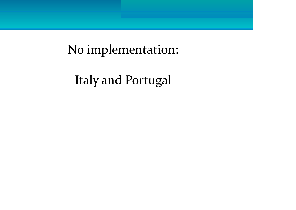No implementation:

Italy and Portugal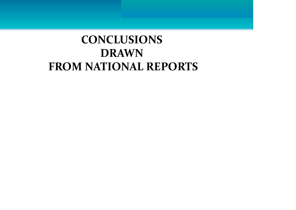# **CONCLUSIONS DRAWN FROM NATIONAL REPORTS**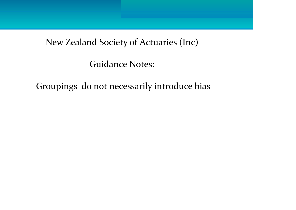New Zealand Society of Actuaries (Inc)

Guidance Notes:

Groupings do not necessarily introduce bias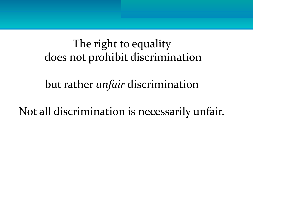The right to equality does not prohibit discrimination

but rather *unfair* discrimination

Not all discrimination is necessarily unfair.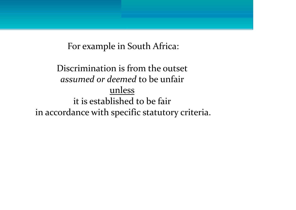For example in South Africa:

Discrimination is from the outset *assumed or deemed* to be unfair unless it is established to be fair in accordance with specific statutory criteria.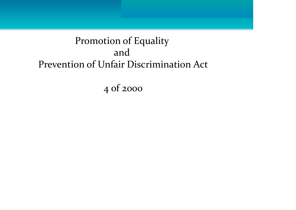## Promotion of Equality and Prevention of Unfair Discrimination Act

4 of 2000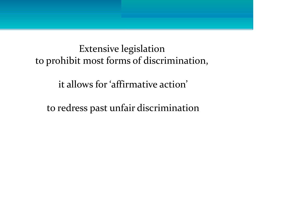Extensive legislation to prohibit most forms of discrimination,

it allows for 'affirmative action'

to redress past unfair discrimination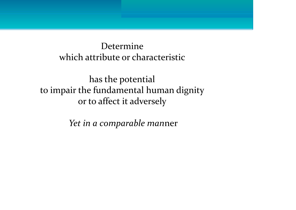Determine which attribute or characteristic

has the potential to impair the fundamental human dignity or to affect it adversely

*Yet in a comparable man*ner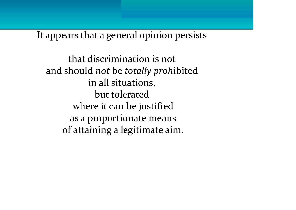It appears that a general opinion persists

that discrimination is not and should *not* be *totally proh*ibited in all situations, but tolerated where it can be justified as a proportionate means of attaining a legitimate aim.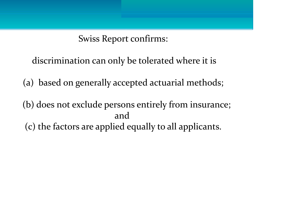Swiss Report confirms:

discrimination can only be tolerated where it is

(a) based on generally accepted actuarial methods;

(b) does not exclude persons entirely from insurance; and (c) the factors are applied equally to all applicants.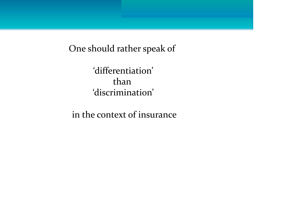One should rather speak of

'differentiation' than 'discrimination'

in the context of insurance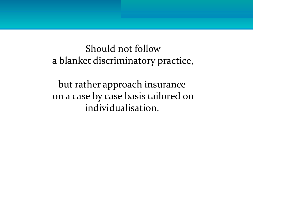Should not follow a blanket discriminatory practice,

but rather approach insurance on a case by case basis tailored on individualisation.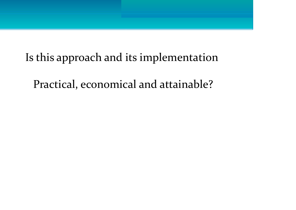# Is this approach and its implementation

Practical, economical and attainable?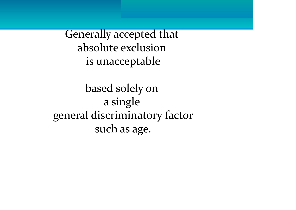Generally accepted that absolute exclusion is unacceptable

based solely on a single general discriminatory factor such as age.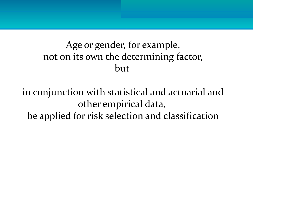### Age or gender, for example, not on its own the determining factor, but

## in conjunction with statistical and actuarial and other empirical data, be applied for risk selection and classification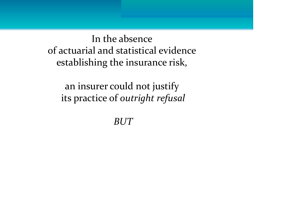In the absence of actuarial and statistical evidence establishing the insurance risk,

an insurer could not justify its practice of *outright refusal*

*BUT*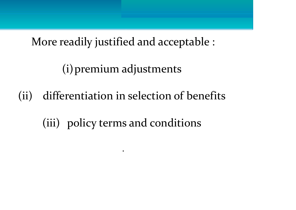More readily justified and acceptable :

(i)premium adjustments

- (ii) differentiation in selection of benefits
	- (iii) policy terms and conditions

.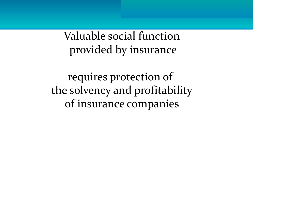Valuable social function provided by insurance

requires protection of the solvency and profitability of insurance companies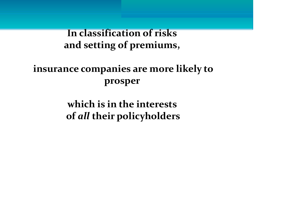**In classification of risks and setting of premiums,**

#### **insurance companies are more likely to prosper**

**which is in the interests of** *all* **their policyholders**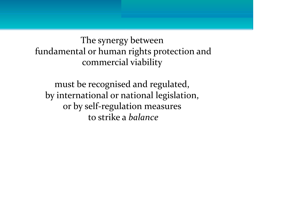The synergy between fundamental or human rights protection and commercial viability

must be recognised and regulated, by international or national legislation, or by self-regulation measures to strike a *balance*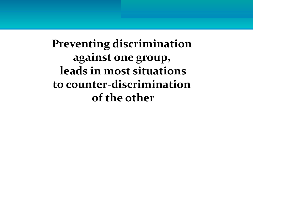**Preventing discrimination against one group, leads in most situations to counter-discrimination of the other**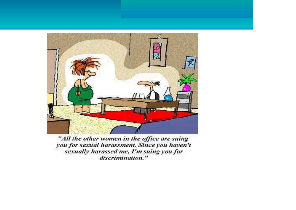

"All the other women in the office are suing you for sexual harassment. Since you haven't<br>sexually harassed me, I'm suing you for discrimination."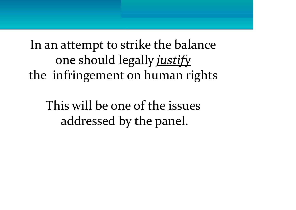In an attempt to strike the balance one should legally *justify* the infringement on human rights

This will be one of the issues addressed by the panel.